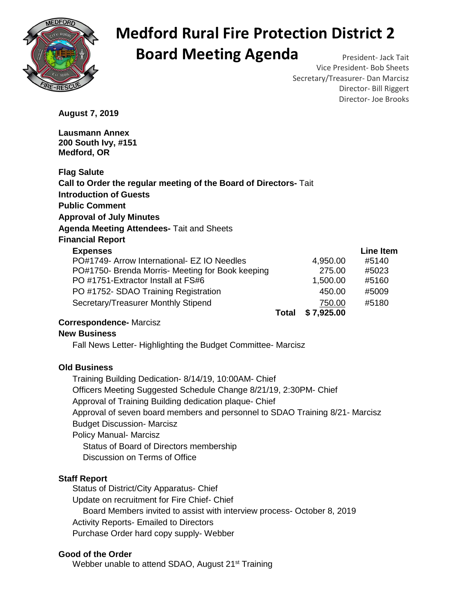

# **Medford Rural Fire Protection District 2 Board Meeting Agenda** President- Jack Tait

Vice President- Bob Sheets Secretary/Treasurer- Dan Marcisz Director- Bill Riggert Director- Joe Brooks

**August 7, 2019** 

**Lausmann Annex 200 South Ivy, #151 Medford, OR** 

| <b>Flag Salute</b>                                                |       |            |           |
|-------------------------------------------------------------------|-------|------------|-----------|
| Call to Order the regular meeting of the Board of Directors- Tait |       |            |           |
| <b>Introduction of Guests</b>                                     |       |            |           |
| <b>Public Comment</b>                                             |       |            |           |
| <b>Approval of July Minutes</b>                                   |       |            |           |
| <b>Agenda Meeting Attendees- Tait and Sheets</b>                  |       |            |           |
| <b>Financial Report</b>                                           |       |            |           |
| <b>Expenses</b>                                                   |       |            | Line Item |
| PO#1749- Arrow International- EZ IO Needles                       |       | 4,950.00   | #5140     |
| PO#1750- Brenda Morris- Meeting for Book keeping                  |       | 275.00     | #5023     |
| PO #1751-Extractor Install at FS#6                                |       | 1,500.00   | #5160     |
| PO #1752- SDAO Training Registration                              |       | 450.00     | #5009     |
| Secretary/Treasurer Monthly Stipend                               |       | 750.00     | #5180     |
|                                                                   | Total | \$7,925.00 |           |

### **Correspondence-** Marcisz

### **New Business**

Fall News Letter- Highlighting the Budget Committee- Marcisz

## **Old Business**

Training Building Dedication- 8/14/19, 10:00AM- Chief Officers Meeting Suggested Schedule Change 8/21/19, 2:30PM- Chief Approval of Training Building dedication plaque- Chief Approval of seven board members and personnel to SDAO Training 8/21- Marcisz Budget Discussion- Marcisz Policy Manual- Marcisz Status of Board of Directors membership Discussion on Terms of Office

## **Staff Report**

Status of District/City Apparatus- Chief Update on recruitment for Fire Chief- Chief Board Members invited to assist with interview process- October 8, 2019 Activity Reports- Emailed to Directors Purchase Order hard copy supply- Webber

### **Good of the Order**

Webber unable to attend SDAO, August 21<sup>st</sup> Training